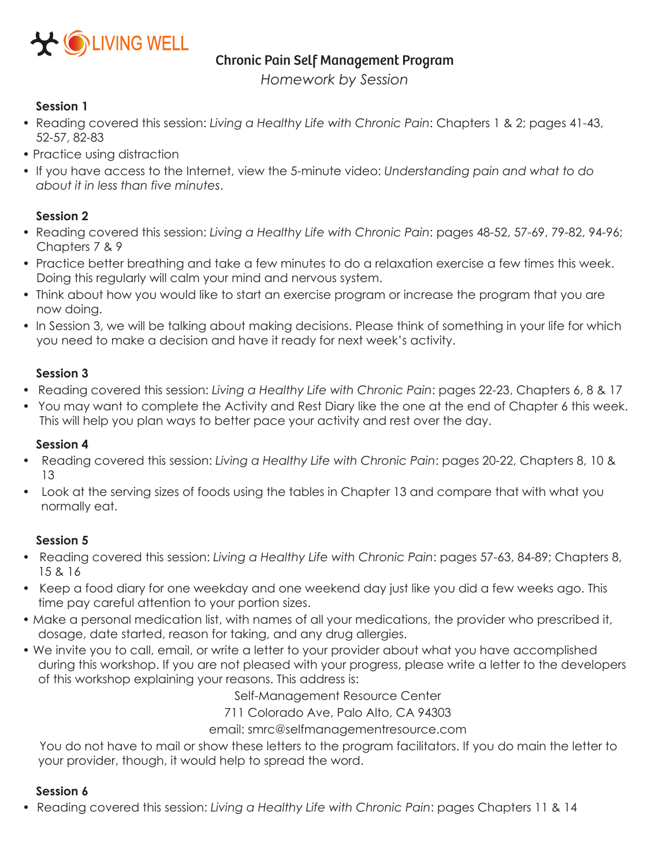

#### Chronic Pain Self Management Program

*Homework by Session*

# **Session 1**

- Reading covered this session: *Living a Healthy Life with Chronic Pain*: Chapters 1 & 2; pages 41-43, 52-57, 82-83
- Practice using distraction
- If you have access to the Internet, view the 5-minute video: *Understanding pain and what to do about it in less than five minutes*.

## **Session 2**

- Reading covered this session: *Living a Healthy Life with Chronic Pain*: pages 48-52, 57-69, 79-82, 94-96; Chapters 7 & 9
- Practice better breathing and take a few minutes to do a relaxation exercise a few times this week. Doing this regularly will calm your mind and nervous system.
- Think about how you would like to start an exercise program or increase the program that you are now doing.
- In Session 3, we will be talking about making decisions. Please think of something in your life for which you need to make a decision and have it ready for next week's activity.

## **Session 3**

- Reading covered this session: *Living a Healthy Life with Chronic Pain*: pages 22-23, Chapters 6, 8 & 17
- You may want to complete the Activity and Rest Diary like the one at the end of Chapter 6 this week. This will help you plan ways to better pace your activity and rest over the day.

## **Session 4**

- Reading covered this session: *Living a Healthy Life with Chronic Pain*: pages 20-22, Chapters 8, 10 & 13
- Look at the serving sizes of foods using the tables in Chapter 13 and compare that with what you normally eat.

## **Session 5**

- Reading covered this session: *Living a Healthy Life with Chronic Pain*: pages 57-63, 84-89; Chapters 8, 15 & 16
- Keep a food diary for one weekday and one weekend day just like you did a few weeks ago. This time pay careful attention to your portion sizes.
- Make a personal medication list, with names of all your medications, the provider who prescribed it, dosage, date started, reason for taking, and any drug allergies.
- We invite you to call, email, or write a letter to your provider about what you have accomplished during this workshop. If you are not pleased with your progress, please write a letter to the developers of this workshop explaining your reasons. This address is:

Self-Management Resource Center

711 Colorado Ave, Palo Alto, CA 94303

email: smrc@selfmanagementresource.com

You do not have to mail or show these letters to the program facilitators. If you do main the letter to your provider, though, it would help to spread the word.

## **Session 6**

• Reading covered this session: *Living a Healthy Life with Chronic Pain*: pages Chapters 11 & 14